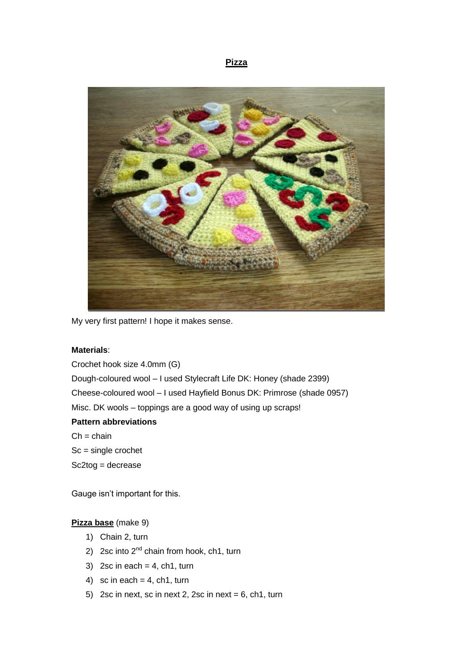#### **Pizza**



My very first pattern! I hope it makes sense.

#### **Materials**:

Crochet hook size 4.0mm (G) Dough-coloured wool – I used Stylecraft Life DK: Honey (shade 2399) Cheese-coloured wool – I used Hayfield Bonus DK: Primrose (shade 0957) Misc. DK wools – toppings are a good way of using up scraps! **Pattern abbreviations**  $Ch = chain$ Sc = single crochet

Sc2tog = decrease

Gauge isn't important for this.

# **Pizza base** (make 9)

- 1) Chain 2, turn
- 2) 2sc into  $2<sup>nd</sup>$  chain from hook, ch1, turn
- 3) 2sc in each =  $4$ , ch1, turn
- 4) sc in each =  $4$ , ch1, turn
- 5) 2sc in next, sc in next 2, 2sc in next =  $6$ , ch1, turn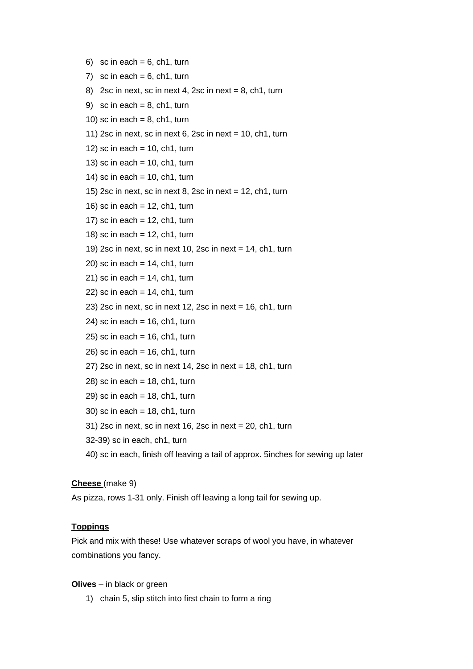- 6) sc in each =  $6$ , ch1, turn
- 7) sc in each  $= 6$ , ch1, turn
- 8) 2sc in next, sc in next 4, 2sc in next =  $8$ , ch1, turn
- 9) sc in each =  $8$ , ch1, turn
- 10) sc in each  $= 8$ , ch1, turn
- 11) 2sc in next, sc in next 6, 2sc in next =  $10$ , ch1, turn
- 12) sc in each  $= 10$ , ch1, turn
- 13) sc in each  $= 10$ , ch1, turn
- 14) sc in each  $= 10$ , ch1, turn
- 15) 2sc in next, sc in next 8, 2sc in next = 12, ch1, turn
- 16) sc in each  $= 12$ , ch1, turn
- 17) sc in each  $= 12$ , ch1, turn
- 18) sc in each  $= 12$ , ch1, turn
- 19) 2sc in next, sc in next 10, 2sc in next = 14, ch1, turn
- $20$ ) sc in each = 14, ch1, turn
- $21$ ) sc in each = 14, ch1, turn
- $22$ ) sc in each = 14, ch1, turn
- 23) 2sc in next, sc in next 12, 2sc in next = 16, ch1, turn
- 24) sc in each  $= 16$ , ch1, turn
- $25$ ) sc in each = 16, ch1, turn
- $26$ ) sc in each = 16, ch1, turn
- 27) 2sc in next, sc in next 14, 2sc in next = 18, ch1, turn
- $28$ ) sc in each = 18, ch1, turn
- $29$ ) sc in each = 18, ch1, turn
- 30) sc in each  $= 18$ , ch1, turn
- 31) 2sc in next, sc in next 16, 2sc in next = 20, ch1, turn
- 32-39) sc in each, ch1, turn
- 40) sc in each, finish off leaving a tail of approx. 5inches for sewing up later

#### **Cheese** (make 9)

As pizza, rows 1-31 only. Finish off leaving a long tail for sewing up.

#### **Toppings**

Pick and mix with these! Use whatever scraps of wool you have, in whatever combinations you fancy.

**Olives** – in black or green

1) chain 5, slip stitch into first chain to form a ring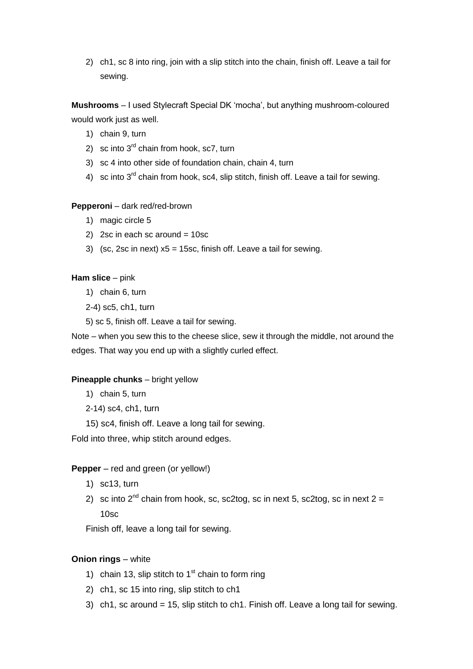2) ch1, sc 8 into ring, join with a slip stitch into the chain, finish off. Leave a tail for sewing.

**Mushrooms** – I used Stylecraft Special DK 'mocha', but anything mushroom-coloured would work just as well.

- 1) chain 9, turn
- 2) sc into  $3<sup>rd</sup>$  chain from hook, sc7, turn
- 3) sc 4 into other side of foundation chain, chain 4, turn
- 4) sc into  $3^{rd}$  chain from hook, sc4, slip stitch, finish off. Leave a tail for sewing.

### **Pepperoni** – dark red/red-brown

- 1) magic circle 5
- 2) 2sc in each sc around =  $10sc$
- 3) (sc, 2sc in next)  $x5 = 15$ sc, finish off. Leave a tail for sewing.

### **Ham slice** – pink

1) chain 6, turn

2-4) sc5, ch1, turn

5) sc 5, finish off. Leave a tail for sewing.

Note – when you sew this to the cheese slice, sew it through the middle, not around the edges. That way you end up with a slightly curled effect.

### **Pineapple chunks** – bright yellow

- 1) chain 5, turn
- 2-14) sc4, ch1, turn
- 15) sc4, finish off. Leave a long tail for sewing.

Fold into three, whip stitch around edges.

### **Pepper** – red and green (or yellow!)

- 1) sc13, turn
- 2) sc into  $2^{nd}$  chain from hook, sc, sc2tog, sc in next 5, sc2tog, sc in next  $2 =$ 10sc

Finish off, leave a long tail for sewing.

# **Onion rings** – white

- 1) chain 13, slip stitch to  $1<sup>st</sup>$  chain to form ring
- 2) ch1, sc 15 into ring, slip stitch to ch1
- 3) ch1, sc around = 15, slip stitch to ch1. Finish off. Leave a long tail for sewing.